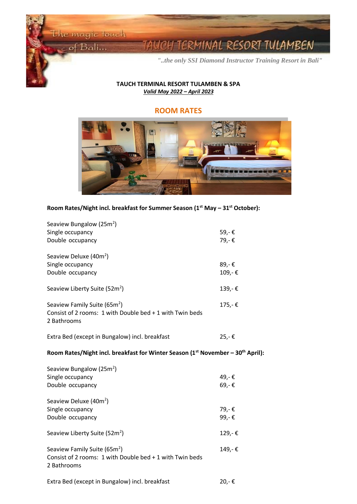$\circ$  of Bali...

Ĭ **Contract Contract Contract Contract** 

I

# TERMINAL RESORT TULAMBEN

*"..the only SSI Diamond Instructor Training Resort in Bali"*

## **TAUCH TERMINAL RESORT TULAMBEN & SPA** *Valid May 2022 – April 2023*

# **ROOM RATES**



| Room Rates/Night incl. breakfast for Summer Season (1 <sup>st</sup> May - 31 <sup>st</sup> October): |  |  |  |
|------------------------------------------------------------------------------------------------------|--|--|--|
|------------------------------------------------------------------------------------------------------|--|--|--|

| Seaview Bungalow (25m <sup>2</sup> )<br>Single occupancy<br>Double occupancy                                        | 59,-€<br>79,-€ |
|---------------------------------------------------------------------------------------------------------------------|----------------|
| Seaview Deluxe (40m <sup>2</sup> )<br>Single occupancy                                                              | 89,-€          |
| Double occupancy                                                                                                    | 109,-€         |
| Seaview Liberty Suite (52m <sup>2</sup> )                                                                           | 139,-€         |
| Seaview Family Suite (65m <sup>2</sup> )<br>Consist of 2 rooms: 1 with Double bed + 1 with Twin beds<br>2 Bathrooms | 175,-€         |
| Extra Bed (except in Bungalow) incl. breakfast                                                                      | 25,-€          |
| Room Rates/Night incl. breakfast for Winter Season (1 <sup>st</sup> November - 30 <sup>th</sup> April):             |                |
|                                                                                                                     |                |
| Seaview Bungalow (25m <sup>2</sup> )                                                                                |                |
| Single occupancy                                                                                                    | 49,-€          |
| Double occupancy                                                                                                    | 69,-€          |
| Seaview Deluxe (40m <sup>2</sup> )                                                                                  |                |
| Single occupancy                                                                                                    | 79,-€          |
| Double occupancy                                                                                                    | 99,-€          |
| Seaview Liberty Suite (52m <sup>2</sup> )                                                                           | 129,-€         |
| Seaview Family Suite (65m <sup>2</sup> )<br>Consist of 2 rooms: 1 with Double bed + 1 with Twin beds<br>2 Bathrooms | 149,-€         |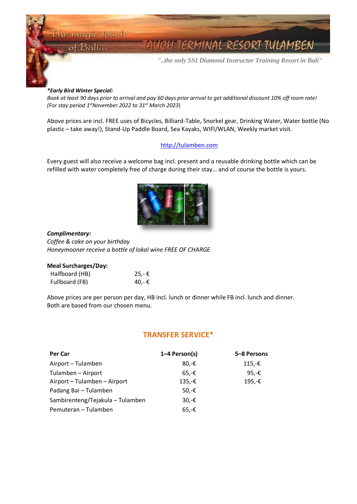Bali...

Ĩ **Contract Contract Contract Contract** 

I

RMINAL RESORT TULAMBEN

*"..the only SSI Diamond Instructor Training Resort in Bali"*

#### *\*Early Bird Winter Special:*

*Book at least 90 days prior to arrival and pay 60 days prior arrival to get additional discount 10% off room rate! (For stay period 1 stNovember 2022 to 31 st March 2023*)

Above prices are incl. FREE uses of Bicycles, Billiard-Table, Snorkel gear, Drinking Water, Water bottle (No plastic – take away!), Stand-Up Paddle Board, Sea Kayaks, WIFI/WLAN, Weekly market visit.

## [http://tulamben.com](http://tulamben.com/)

Every guest will also receive a welcome bag incl. present and a reusable drinking bottle which can be refilled with water completely free of charge during their stay… and of course the bottle is yours.



#### *Complimentary:*

*Coffee & cake on your birthday Honeymooner receive a bottle of lokal wine FREE OF CHARGE*

#### **Meal Surcharges/Day:**

| Halfboard (HB) | 25,-€ |
|----------------|-------|
| Fullboard (FB) | 40,-€ |

Above prices are per person per day, HB incl. lunch or dinner while FB incl. lunch and dinner. Both are based from our chosen menu.

## **TRANSFER SERVICE\***

| <b>Per Car</b>                   | 1-4 Person(s)   | 5-8 Persons |
|----------------------------------|-----------------|-------------|
| Airport - Tulamben               | 80.- $\epsilon$ | $115,-€$    |
| Tulamben - Airport               | $65.-E$         | 95,-€       |
| Airport - Tulamben - Airport     | $135,-€$        | 195,-€      |
| Padang Bai - Tulamben            | 50,-€           |             |
| Sambirenteng/Tejakula - Tulamben | $30.$ -€        |             |
| Pemuteran - Tulamben             | $65,-€$         |             |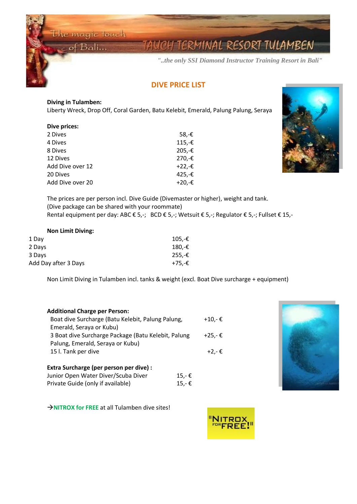$of$  Bali...

Ĩ **Contract Contract Contract Contract** 

I

# ERMINAL RESORT TULAMBEN

*"..the only SSI Diamond Instructor Training Resort in Bali"*

# **DIVE PRICE LIST**

## **Diving in Tulamben:**

Liberty Wreck, Drop Off, Coral Garden, Batu Kelebit, Emerald, Palung Palung, Seraya

| <b>Dive prices:</b> |           |
|---------------------|-----------|
| 2 Dives             | 58,-€     |
| 4 Dives             | $115,-€$  |
| 8 Dives             | 205,-€    |
| 12 Dives            | 270,-€    |
| Add Dive over 12    | $+22. -E$ |
| 20 Dives            | 425,-€    |
| Add Dive over 20    | $+20,-E$  |



The prices are per person incl. Dive Guide (Divemaster or higher), weight and tank. (Dive package can be shared with your roommate) Rental equipment per day: ABC € 5,-; BCD € 5,-; Wetsuit € 5,-; Regulator € 5,-; Fullset € 15,-

## **Non Limit Diving:**

| 1 Day                | $105.-€$ |
|----------------------|----------|
| 2 Days               | 180.-€   |
| 3 Days               | $255.-€$ |
| Add Day after 3 Days | +75.-€   |

Non Limit Diving in Tulamben incl. tanks & weight (excl. Boat Dive surcharge + equipment)

| <b>Additional Charge per Person:</b>                |        |
|-----------------------------------------------------|--------|
| Boat dive Surcharge (Batu Kelebit, Palung Palung,   | +10,-€ |
| Emerald, Seraya or Kubu)                            |        |
| 3 Boat dive Surcharge Package (Batu Kelebit, Palung | +25.-€ |
| Palung, Emerald, Seraya or Kubu)                    |        |
| 15 l. Tank per dive                                 | +2.-€  |
|                                                     |        |
| Extra Surcharge (per person per dive) :             |        |
| Junior Open Water Diver/Scuba Diver<br>$15,-€$      |        |
| Private Guide (only if available)<br>$15,-€$        |        |



→**NITROX for FREE** at all Tulamben dive sites!

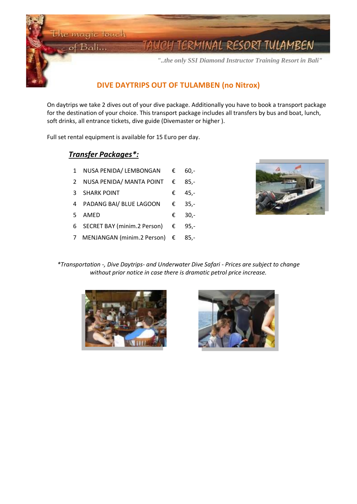of Bali...

Ĩ **Contract Contract Contract Contract** 

I

# RMINAL RESORT TULAMBEN

*"..the only SSI Diamond Instructor Training Resort in Bali"*

# **DIVE DAYTRIPS OUT OF TULAMBEN (no Nitrox)**

On daytrips we take 2 dives out of your dive package. Additionally you have to book a transport package for the destination of your choice. This transport package includes all transfers by bus and boat, lunch, soft drinks, all entrance tickets, dive guide (Divemaster or higher ).

Full set rental equipment is available for 15 Euro per day.

# *Transfer Packages\*:*

- 1 NUSA PENIDA/ LEMBONGAN € 60,-
- 2 NUSA PENIDA/ MANTA POINT € 85,-
- 3 SHARK POINT  $\epsilon$  45,-
- 4 PADANG BAI/ BLUE LAGOON € 35,-
- 5 AMED € 30,-
- 6 SECRET BAY (minim.2 Person) € 95,-
- 7 MENJANGAN (minim.2 Person) € 85,-



*\*Transportation -, Dive Daytrips- and Underwater Dive Safari - Prices are subject to change without prior notice in case there is dramatic petrol price increase.*



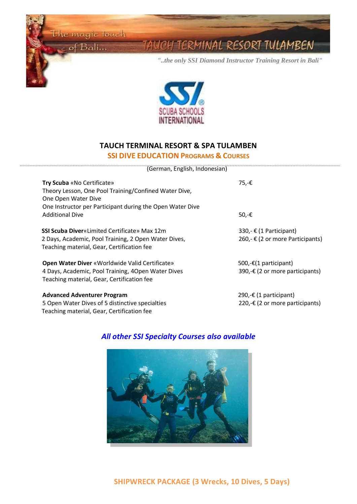the magic touch  $\circ$  of Bali...

Ĩ **Contract Contract Contract Contract** 

I

<u>UCH TERMINAL RESORT TULAMBEN</u>

*"..the only SSI Diamond Instructor Training Resort in Bali"*



# **TAUCH TERMINAL RESORT & SPA TULAMBEN**

# **SSI DIVE EDUCATION PROGRAMS & COURSES**

(German, English, Indonesian)

| Try Scuba «No Certificate»<br>Theory Lesson, One Pool Training/Confined Water Dive,<br>One Open Water Dive<br>One Instructor per Participant during the Open Water Dive<br><b>Additional Dive</b> | 75,-€<br>50,-€                                                      |
|---------------------------------------------------------------------------------------------------------------------------------------------------------------------------------------------------|---------------------------------------------------------------------|
| <b>SSI Scuba Diver</b> «Limited Certificate» Max 12m<br>2 Days, Academic, Pool Training, 2 Open Water Dives,<br>Teaching material, Gear, Certification fee                                        | 330,- $E(1$ Participant)<br>260,- € (2 or more Participants)        |
| <b>Open Water Diver «Worldwide Valid Certificate»</b><br>4 Days, Academic, Pool Training, 4Open Water Dives<br>Teaching material, Gear, Certification fee                                         | 500,- $\epsilon$ (1 participant)<br>390,-€ (2 or more participants) |
| <b>Advanced Adventurer Program</b><br>5 Open Water Dives of 5 distinctive specialties<br>Teaching material, Gear, Certification fee                                                               | 290,-€ (1 participant)<br>220,-€ (2 or more participants)           |

# *All other SSI Specialty Courses also available*

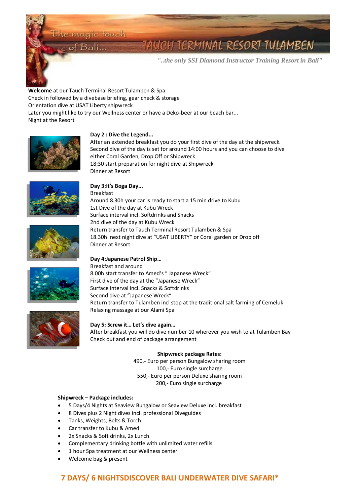$B$ ali...

# ERMINAL RESORT TULAMBEN

*"..the only SSI Diamond Instructor Training Resort in Bali"*

**Day 1 : Welcome** at our Tauch Terminal Resort Tulamben & Spa Check in followed by a divebase briefing, gear check & storage Orientation dive at USAT Liberty shipwreck Later you might like to try our Wellness center or have a Deko-beer at our beach bar... Night at the Resort



Ĩ **Contract Contract Contract Contract** 

I

## **Day 2 : Dive the Legend...**

After an extended breakfast you do your first dive of the day at the shipwreck. Second dive of the day is set for around 14:00 hours and you can choose to dive either Coral Garden, Drop Off or Shipwreck. 18:30 start preparation for night dive at Shipwreck Dinner at Resort



## **Day 3:It's Boga Day...**

Breakfast Around 8.30h your car is ready to start a 15 min drive to Kubu 1st Dive of the day at Kubu Wreck Surface interval incl. Softdrinks and Snacks 2nd dive of the day at Kubu Wreck Return transfer to Tauch Terminal Resort Tulamben & Spa 18.30h next night dive at "USAT LIBERTY" or Coral garden or Drop off Dinner at Resort



# **Day 4:Japanese Patrol Ship…**

Breakfast and around 8.00h start transfer to Amed's " Japanese Wreck" First dive of the day at the "Japanese Wreck" Surface interval incl. Snacks & Softdrinks Second dive at "Japanese Wreck" Return transfer to Tulamben incl stop at the traditional salt farming of Cemeluk Relaxing massage at our Alami Spa



### **Day 5: Screw it… Let's dive again…**

After breakfast you will do dive number 10 wherever you wish to at Tulamben Bay Check out and end of package arrangement

#### **Shipwreck package Rates:**

490,- Euro per person Bungalow sharing room 100,- Euro single surcharge 550,- Euro per person Deluxe sharing room 200,- Euro single surcharge

#### **Shipwreck – Package includes:**

- 5 Days/4 Nights at Seaview Bungalow or Seaview Deluxe incl. breakfast
- 8 Dives plus 2 Night dives incl. professional Diveguides
- Tanks, Weights, Belts & Torch
- Car transfer to Kubu & Amed
- 2x Snacks & Soft drinks, 2x Lunch
- Complementary drinking bottle with unlimited water refills
- 1 hour Spa treatment at our Wellness center
- Welcome bag & present

# **7 DAYS/ 6 NIGHTSDISCOVER BALI UNDERWATER DIVE SAFARI\***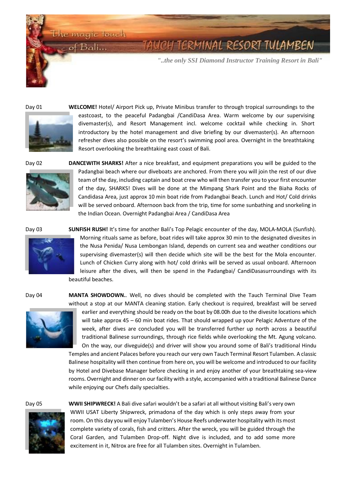the magic touch of Bali...

# TERMINAL RESORT TULAMBEN

*"..the only SSI Diamond Instructor Training Resort in Bali"*

Ĩ **Contract Contract Contract Contract** 

I



Day 01 **WELCOME!** Hotel/ Airport Pick up, Private Minibus transfer to through tropical surroundings to the eastcoast, to the peaceful Padangbai /CandiDasa Area. Warm welcome by our supervising divemaster(s), and Resort Management incl. welcome cocktail while checking in. Short introductory by the hotel management and dive briefing by our divemaster(s). An afternoon refresher dives also possible on the resort's swimming pool area. Overnight in the breathtaking Resort overlooking the breathtaking east coast of Bali.



Day 02 **DANCEWITH SHARKS!** After a nice breakfast, and equipment preparations you will be guided to the Padangbai beach where our diveboats are anchored. From there you will join the rest of our dive team of the day, including captain and boat crew who will then transfer you to your first encounter of the day, SHARKS! Dives will be done at the Mimpang Shark Point and the Biaha Rocks of Candidasa Area, just approx 10 min boat ride from Padangbai Beach. Lunch and Hot/ Cold drinks will be served onboard. Afternoon back from the trip, time for some sunbathing and snorkeling in the Indian Ocean. Overnight Padangbai Area / CandiDasa Area



Day 03 **SUNFISH RUSH!** It's time for another Bali's Top Pelagic encounter of the day, MOLA-MOLA (Sunfish). Morning rituals same as before, boat rides will take approx 30 min to the designated divesites in the Nusa Penida/ Nusa Lembongan Island, depends on current sea and weather conditions our supervising divemaster(s) will then decide which site will be the best for the Mola encounter. Lunch of Chicken Curry along with hot/ cold drinks will be served as usual onboard. Afternoon leisure after the dives, will then be spend in the Padangbai/ CandiDasasurroundings with its beautiful beaches.



Day 04 **MANTA SHOWDOWN.**. Well, no dives should be completed with the Tauch Terminal Dive Team without a stop at our MANTA cleaning station. Early checkout is required, breakfast will be served

earlier and everything should be ready on the boat by 08.00h due to the divesite locations which will take approx 45 – 60 min boat rides. That should wrapped up your Pelagic Adventure of the week, after dives are concluded you will be transferred further up north across a beautiful traditional Balinese surroundings, through rice fields while overlooking the Mt. Agung volcano. On the way, our diveguide(s) and driver will show you around some of Bali's traditional Hindu Temples and ancient Palaces before you reach our very own Tauch Terminal Resort Tulamben. A classic

Balinese hospitality will then continue from here on, you will be welcome and introduced to our facility by Hotel and Divebase Manager before checking in and enjoy another of your breathtaking sea‐view rooms. Overnight and dinner on our facility with a style, accompanied with a traditional Balinese Dance while enjoying our Chefs daily specialties.



Day 05 **WWII SHIPWRECK!** A Bali dive safari wouldn't be a safari at all without visiting Bali's very own WWII USAT Liberty Shipwreck, primadona of the day which is only steps away from your room. On this day you will enjoy Tulamben's House Reefs underwater hospitality with its most complete variety of corals, fish and critters. After the wreck, you will be guided through the Coral Garden, and Tulamben Drop-off. Night dive is included, and to add some more excitement in it, Nitrox are free for all Tulamben sites. Overnight in Tulamben.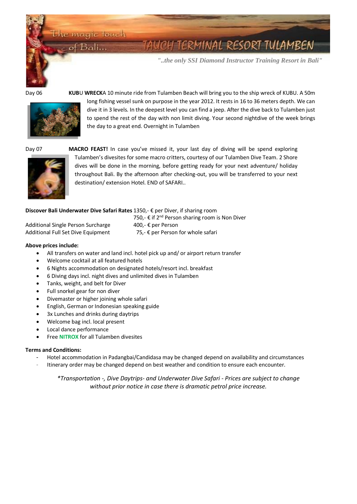Bali...

# RMINAL RESORT TULAMBEN

*"..the only SSI Diamond Instructor Training Resort in Bali"*

Ĩ **Contract Contract Contract Contract** 

I



Day 06 **KUB**U **WRECK**A 10 minute ride from Tulamben Beach will bring you to the ship wreck of KUBU. A 50m long fishing vessel sunk on purpose in the year 2012. It rests in 16 to 36 meters depth. We can dive it in 3 levels. In the deepest level you can find a jeep. After the dive back to Tulamben just to spend the rest of the day with non limit diving. Your second nightdive of the week brings the day to a great end. Overnight in Tulamben



Day 07 **MACRO FEAST!** In case you've missed it, your last day of diving will be spend exploring Tulamben's divesites for some macro critters, courtesy of our Tulamben Dive Team. 2 Shore dives will be done in the morning, before getting ready for your next adventure/ holiday throughout Bali. By the afternoon after checking-out, you will be transferred to your next destination/ extension Hotel. END of SAFARI..

#### **Discover Bali Underwater Dive Safari Rates** 1350,- € per Diver, if sharing room

| Additional Single Person Surcharge |  |
|------------------------------------|--|
| Additional Full Set Dive Equipment |  |

750,- € if 2<sup>nd</sup> Person sharing room is Non Diver 400,- € per Person 75,-  $\epsilon$  per Person for whole safari

**Above prices include:**

- All transfers on water and land incl. hotel pick up and/ or airport return transfer
- Welcome cocktail at all featured hotels
- 6 Nights accommodation on designated hotels/resort incl. breakfast
- 6 Diving days incl. night dives and unlimited dives in Tulamben
- Tanks, weight, and belt for Diver
- Full snorkel gear for non diver
- Divemaster or higher joining whole safari
- English, German or Indonesian speaking guide
- 3x Lunches and drinks during daytrips
- Welcome bag incl. local present
- Local dance performance
- Free **NITROX** for all Tulamben divesites

#### **Terms and Conditions:**

- Hotel accommodation in Padangbai/Candidasa may be changed depend on availability and circumstances
- Itinerary order may be changed depend on best weather and condition to ensure each encounter.

*\*Transportation -, Dive Daytrips- and Underwater Dive Safari - Prices are subject to change without prior notice in case there is dramatic petrol price increase.*